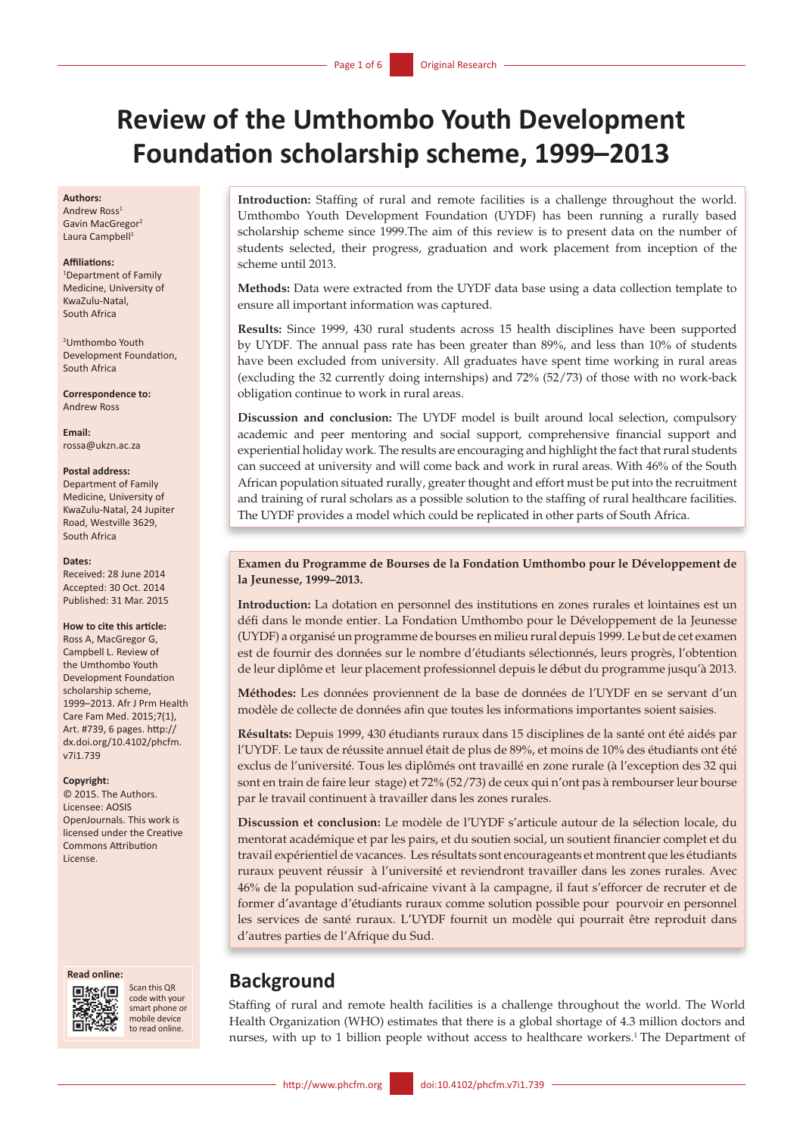# **Review of the Umthombo Youth Development Foundation scholarship scheme, 1999–2013**

#### **Authors:**

Andrew Ross<sup>1</sup> Gavin MacGregor2 Laura Campbell<sup>1</sup>

#### **Affiliations:**

1 Department of Family Medicine, University of KwaZulu-Natal, South Africa

2 Umthombo Youth Development Foundation, South Africa

**Correspondence to:** Andrew Ross

**Email:** [rossa@ukzn.ac.za](mailto:rossa@ukzn.ac.za)

#### **Postal address:**

Department of Family Medicine, University of KwaZulu-Natal, 24 Jupiter Road, Westville 3629, South Africa

#### **Dates:**

Received: 28 June 2014 Accepted: 30 Oct. 2014 Published: 31 Mar. 2015

#### **How to cite this article:**

Ross A, MacGregor G, Campbell L. Review of the Umthombo Youth Development Foundation scholarship scheme, 1999–2013. Afr J Prm Health Care Fam Med. 2015;7(1), Art. #739, 6 pages. [http://](http://dx.doi.org/10.4102/phcfm.v7i1.739) [dx.doi.org/10.4102/phcfm.](http://dx.doi.org/10.4102/phcfm.v7i1.739) [v7i1.739](http://dx.doi.org/10.4102/phcfm.v7i1.739)

#### **Copyright:**

© 2015. The Authors. Licensee: AOSIS OpenJournals. This work is licensed under the Creative Commons Attribution License.

#### **Read online:**



Scan this QR code with your smart phone or mobile device to read online.

**Introduction:** Staffing of rural and remote facilities is a challenge throughout the world. Umthombo Youth Development Foundation (UYDF) has been running a rurally based scholarship scheme since 1999.The aim of this review is to present data on the number of students selected, their progress, graduation and work placement from inception of the scheme until 2013.

**Methods:** Data were extracted from the UYDF data base using a data collection template to ensure all important information was captured.

**Results:** Since 1999, 430 rural students across 15 health disciplines have been supported by UYDF. The annual pass rate has been greater than 89%, and less than 10% of students have been excluded from university. All graduates have spent time working in rural areas (excluding the 32 currently doing internships) and 72% (52/73) of those with no work-back obligation continue to work in rural areas.

**Discussion and conclusion:** The UYDF model is built around local selection, compulsory academic and peer mentoring and social support, comprehensive financial support and experiential holiday work. The results are encouraging and highlight the fact that rural students can succeed at university and will come back and work in rural areas. With 46% of the South African population situated rurally, greater thought and effort must be put into the recruitment and training of rural scholars as a possible solution to the staffing of rural healthcare facilities. The UYDF provides a model which could be replicated in other parts of South Africa.

### **Examen du Programme de Bourses de la Fondation Umthombo pour le Développement de la Jeunesse, 1999–2013.**

**Introduction:** La dotation en personnel des institutions en zones rurales et lointaines est un défi dans le monde entier. La Fondation Umthombo pour le Développement de la Jeunesse (UYDF) a organisé un programme de bourses en milieu rural depuis 1999. Le but de cet examen est de fournir des données sur le nombre d'étudiants sélectionnés, leurs progrès, l'obtention de leur diplôme et leur placement professionnel depuis le début du programme jusqu'à 2013.

**Méthodes:** Les données proviennent de la base de données de l'UYDF en se servant d'un modèle de collecte de données afin que toutes les informations importantes soient saisies.

**Résultats:** Depuis 1999, 430 étudiants ruraux dans 15 disciplines de la santé ont été aidés par l'UYDF. Le taux de réussite annuel était de plus de 89%, et moins de 10% des étudiants ont été exclus de l'université. Tous les diplômés ont travaillé en zone rurale (à l'exception des 32 qui sont en train de faire leur stage) et 72% (52/73) de ceux qui n'ont pas à rembourser leur bourse par le travail continuent à travailler dans les zones rurales.

**Discussion et conclusion:** Le modèle de l'UYDF s'articule autour de la sélection locale, du mentorat académique et par les pairs, et du soutien social, un soutient financier complet et du travail expérientiel de vacances. Les résultats sont encourageants et montrent que les étudiants ruraux peuvent réussir à l'université et reviendront travailler dans les zones rurales. Avec 46% de la population sud-africaine vivant à la campagne, il faut s'efforcer de recruter et de former d'avantage d'étudiants ruraux comme solution possible pour pourvoir en personnel les services de santé ruraux. L'UYDF fournit un modèle qui pourrait être reproduit dans d'autres parties de l'Afrique du Sud.

# **Background**

Staffing of rural and remote health facilities is a challenge throughout the world. The World Health Organization (WHO) estimates that there is a global shortage of 4.3 million doctors and nurses, with up to 1 billion people without access to healthcare workers.1 The Department of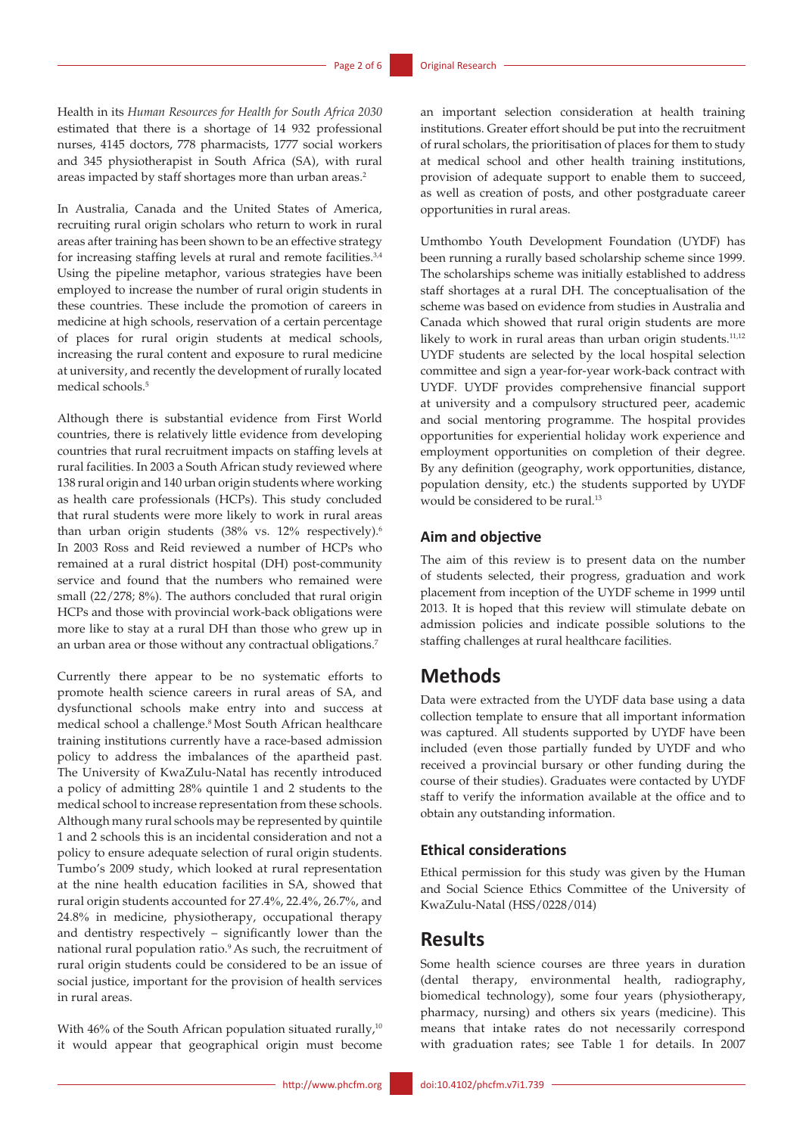Health in its *Human Resources for Health for South Africa 2030* estimated that there is a shortage of 14 932 professional nurses, 4145 doctors, 778 pharmacists, 1777 social workers and 345 physiotherapist in South Africa (SA), with rural areas impacted by staff shortages more than urban areas.<sup>2</sup>

In Australia, Canada and the United States of America, recruiting rural origin scholars who return to work in rural areas after training has been shown to be an effective strategy for increasing staffing levels at rural and remote facilities.<sup>3,4</sup> Using the pipeline metaphor, various strategies have been employed to increase the number of rural origin students in these countries. These include the promotion of careers in medicine at high schools, reservation of a certain percentage of places for rural origin students at medical schools, increasing the rural content and exposure to rural medicine at university, and recently the development of rurally located medical schools.5

Although there is substantial evidence from First World countries, there is relatively little evidence from developing countries that rural recruitment impacts on staffing levels at rural facilities. In 2003 a South African study reviewed where 138 rural origin and 140 urban origin students where working as health care professionals (HCPs). This study concluded that rural students were more likely to work in rural areas than urban origin students (38% vs. 12% respectively).<sup>6</sup> In 2003 Ross and Reid reviewed a number of HCPs who remained at a rural district hospital (DH) post-community service and found that the numbers who remained were small (22/278; 8%). The authors concluded that rural origin HCPs and those with provincial work-back obligations were more like to stay at a rural DH than those who grew up in an urban area or those without any contractual obligations.7

Currently there appear to be no systematic efforts to promote health science careers in rural areas of SA, and dysfunctional schools make entry into and success at medical school a challenge.<sup>8</sup> Most South African healthcare training institutions currently have a race-based admission policy to address the imbalances of the apartheid past. The University of KwaZulu-Natal has recently introduced a policy of admitting 28% quintile 1 and 2 students to the medical school to increase representation from these schools. Although many rural schools may be represented by quintile 1 and 2 schools this is an incidental consideration and not a policy to ensure adequate selection of rural origin students. Tumbo's 2009 study, which looked at rural representation at the nine health education facilities in SA, showed that rural origin students accounted for 27.4%, 22.4%, 26.7%, and 24.8% in medicine, physiotherapy, occupational therapy and dentistry respectively – significantly lower than the national rural population ratio.9 As such, the recruitment of rural origin students could be considered to be an issue of social justice, important for the provision of health services in rural areas.

With 46% of the South African population situated rurally,<sup>10</sup> it would appear that geographical origin must become an important selection consideration at health training institutions. Greater effort should be put into the recruitment of rural scholars, the prioritisation of places for them to study at medical school and other health training institutions, provision of adequate support to enable them to succeed, as well as creation of posts, and other postgraduate career opportunities in rural areas.

Umthombo Youth Development Foundation (UYDF) has been running a rurally based scholarship scheme since 1999. The scholarships scheme was initially established to address staff shortages at a rural DH. The conceptualisation of the scheme was based on evidence from studies in Australia and Canada which showed that rural origin students are more likely to work in rural areas than urban origin students.<sup>11,12</sup> UYDF students are selected by the local hospital selection committee and sign a year-for-year work-back contract with UYDF. UYDF provides comprehensive financial support at university and a compulsory structured peer, academic and social mentoring programme. The hospital provides opportunities for experiential holiday work experience and employment opportunities on completion of their degree. By any definition (geography, work opportunities, distance, population density, etc.) the students supported by UYDF would be considered to be rural.13

### **Aim and objective**

The aim of this review is to present data on the number of students selected, their progress, graduation and work placement from inception of the UYDF scheme in 1999 until 2013. It is hoped that this review will stimulate debate on admission policies and indicate possible solutions to the staffing challenges at rural healthcare facilities.

# **Methods**

Data were extracted from the UYDF data base using a data collection template to ensure that all important information was captured. All students supported by UYDF have been included (even those partially funded by UYDF and who received a provincial bursary or other funding during the course of their studies). Graduates were contacted by UYDF staff to verify the information available at the office and to obtain any outstanding information.

### **Ethical considerations**

Ethical permission for this study was given by the Human and Social Science Ethics Committee of the University of KwaZulu-Natal (HSS/0228/014)

# **Results**

Some health science courses are three years in duration (dental therapy, environmental health, radiography, biomedical technology), some four years (physiotherapy, pharmacy, nursing) and others six years (medicine). This means that intake rates do not necessarily correspond with graduation rates; see Table 1 for details. In 2007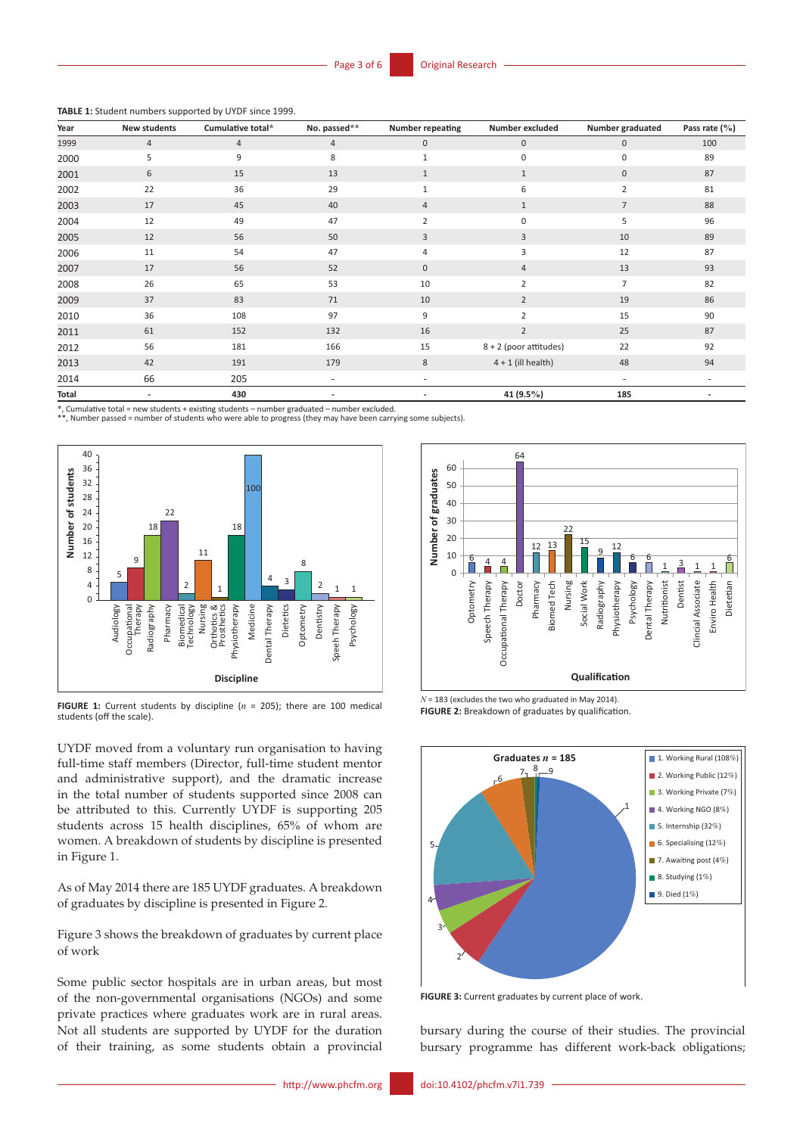**TABLE 1:** Student numbers supported by UYDF since 1999.

| Year  | New students             | Cumulative total* | No. passed**   | <b>Number repeating</b>  | Number excluded        | Number graduated         | Pass rate $(\% )$ |
|-------|--------------------------|-------------------|----------------|--------------------------|------------------------|--------------------------|-------------------|
| 1999  | $\overline{4}$           | $\overline{4}$    | $\overline{4}$ | $\mathbf 0$              | $\mathbf{0}$           | $\mathbf 0$              | 100               |
| 2000  | 5                        | 9                 | 8              | $\mathbf{1}$             | $\Omega$               | 0                        | 89                |
| 2001  | 6                        | 15                | 13             | $\mathbf{1}$             | $\mathbf{1}$           | $\mathbf 0$              | 87                |
| 2002  | 22                       | 36                | 29             | $\mathbf{1}$             | 6                      | $\overline{2}$           | 81                |
| 2003  | 17                       | 45                | 40             | $\overline{4}$           | $\mathbf{1}$           | $\overline{7}$           | 88                |
| 2004  | 12                       | 49                | 47             | $\overline{2}$           | $\Omega$               | 5                        | 96                |
| 2005  | 12                       | 56                | 50             | 3                        | 3                      | 10                       | 89                |
| 2006  | 11                       | 54                | 47             | 4                        | 3                      | 12                       | 87                |
| 2007  | 17                       | 56                | 52             | $\mathbf 0$              | 4                      | 13                       | 93                |
| 2008  | 26                       | 65                | 53             | 10                       | $\overline{2}$         | $\overline{7}$           | 82                |
| 2009  | 37                       | 83                | 71             | 10                       | $\overline{2}$         | 19                       | 86                |
| 2010  | 36                       | 108               | 97             | 9                        | 2                      | 15                       | 90                |
| 2011  | 61                       | 152               | 132            | 16                       | $\overline{2}$         | 25                       | 87                |
| 2012  | 56                       | 181               | 166            | 15                       | 8 + 2 (poor attitudes) | 22                       | 92                |
| 2013  | 42                       | 191               | 179            | 8                        | $4 + 1$ (ill health)   | 48                       | 94                |
| 2014  | 66                       | 205               | $\sim$         | $\overline{\phantom{a}}$ |                        | $\overline{\phantom{0}}$ |                   |
| Total | $\overline{\phantom{a}}$ | 430               |                |                          | 41 $(9.5\%)$           | 185                      |                   |

\*, Cumulative total = new students + existing students – number graduated – number excluded.

\*\*, Number passed = number of students who were able to progress (they may have been carrying some subjects).



**FIGURE 1:** Current students by discipline (*n* = 205); there are 100 medical students (off the scale).

UYDF moved from a voluntary run organisation to having full-time staff members (Director, full-time student mentor and administrative support), and the dramatic increase in the total number of students supported since 2008 can be attributed to this. Currently UYDF is supporting 205 students across 15 health disciplines, 65% of whom are women. A breakdown of students by discipline is presented in Figure 1.

As of May 2014 there are 185 UYDF graduates. A breakdown of graduates by discipline is presented in Figure 2.

Figure 3 shows the breakdown of graduates by current place of work

Some public sector hospitals are in urban areas, but most of the non-governmental organisations (NGOs) and some private practices where graduates work are in rural areas. Not all students are supported by UYDF for the duration of their training, as some students obtain a provincial



*N* = 183 (excludes the two who graduated in May 2014). **FIGURE 2:** Breakdown of graduates by qualification.



**FIGURE 3:** Current graduates by current place of work.

bursary during the course of their studies. The provincial bursary programme has different work-back obligations;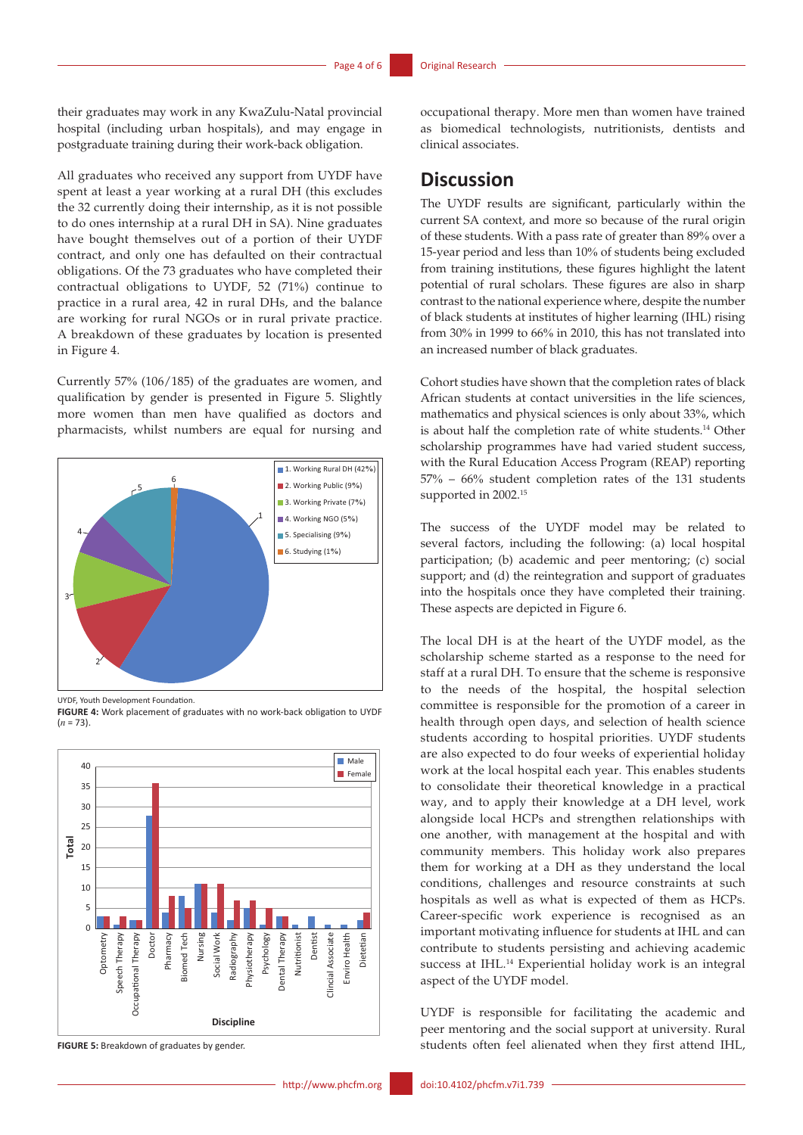their graduates may work in any KwaZulu-Natal provincial hospital (including urban hospitals), and may engage in postgraduate training during their work-back obligation.

All graduates who received any support from UYDF have spent at least a year working at a rural DH (this excludes the 32 currently doing their internship, as it is not possible to do ones internship at a rural DH in SA). Nine graduates have bought themselves out of a portion of their UYDF contract, and only one has defaulted on their contractual obligations. Of the 73 graduates who have completed their contractual obligations to UYDF, 52 (71%) continue to practice in a rural area, 42 in rural DHs, and the balance are working for rural NGOs or in rural private practice. A breakdown of these graduates by location is presented in Figure 4.

Currently 57% (106/185) of the graduates are women, and qualification by gender is presented in Figure 5. Slightly more women than men have qualified as doctors and pharmacists, whilst numbers are equal for nursing and



UYDF, Youth Development Foundation.

**FIGURE 4:** Work placement of graduates with no work-back obligation to UYDF  $(n = 73)$ 



**FIGURE 5:** Breakdown of graduates by gender.

# **Discussion**

The UYDF results are significant, particularly within the current SA context, and more so because of the rural origin of these students. With a pass rate of greater than 89% over a 15-year period and less than 10% of students being excluded from training institutions, these figures highlight the latent potential of rural scholars. These figures are also in sharp contrast to the national experience where, despite the number of black students at institutes of higher learning (IHL) rising from 30% in 1999 to 66% in 2010, this has not translated into an increased number of black graduates.

Cohort studies have shown that the completion rates of black African students at contact universities in the life sciences, mathematics and physical sciences is only about 33%, which is about half the completion rate of white students.<sup>14</sup> Other scholarship programmes have had varied student success, with the Rural Education Access Program (REAP) reporting 57% – 66% student completion rates of the 131 students supported in 2002.<sup>15</sup>

The success of the UYDF model may be related to several factors, including the following: (a) local hospital participation; (b) academic and peer mentoring; (c) social support; and (d) the reintegration and support of graduates into the hospitals once they have completed their training. These aspects are depicted in Figure 6.

The local DH is at the heart of the UYDF model, as the scholarship scheme started as a response to the need for staff at a rural DH. To ensure that the scheme is responsive to the needs of the hospital, the hospital selection committee is responsible for the promotion of a career in health through open days, and selection of health science students according to hospital priorities. UYDF students are also expected to do four weeks of experiential holiday work at the local hospital each year. This enables students to consolidate their theoretical knowledge in a practical way, and to apply their knowledge at a DH level, work alongside local HCPs and strengthen relationships with one another, with management at the hospital and with community members. This holiday work also prepares them for working at a DH as they understand the local conditions, challenges and resource constraints at such hospitals as well as what is expected of them as HCPs. Career-specific work experience is recognised as an important motivating influence for students at IHL and can contribute to students persisting and achieving academic success at IHL.14 Experiential holiday work is an integral aspect of the UYDF model.

UYDF is responsible for facilitating the academic and peer mentoring and the social support at university. Rural students often feel alienated when they first attend IHL,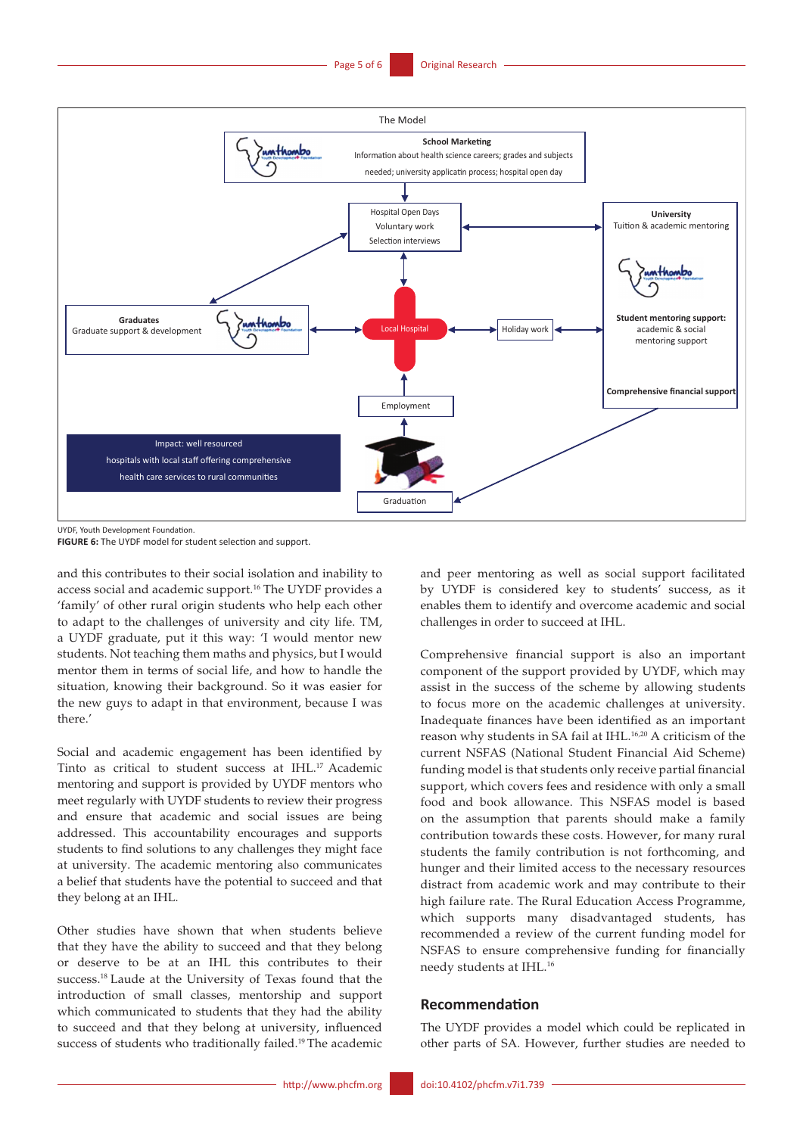

UYDF, Youth Development Foundation.

**FIGURE 6:** The UYDF model for student selection and support.

and this contributes to their social isolation and inability to access social and academic support.16 The UYDF provides a 'family' of other rural origin students who help each other to adapt to the challenges of university and city life. TM, a UYDF graduate, put it this way: 'I would mentor new students. Not teaching them maths and physics, but I would mentor them in terms of social life, and how to handle the situation, knowing their background. So it was easier for the new guys to adapt in that environment, because I was there.'

Social and academic engagement has been identified by Tinto as critical to student success at IHL.17 Academic mentoring and support is provided by UYDF mentors who meet regularly with UYDF students to review their progress and ensure that academic and social issues are being addressed. This accountability encourages and supports students to find solutions to any challenges they might face at university. The academic mentoring also communicates a belief that students have the potential to succeed and that they belong at an IHL.

Other studies have shown that when students believe that they have the ability to succeed and that they belong or deserve to be at an IHL this contributes to their success.18 Laude at the University of Texas found that the introduction of small classes, mentorship and support which communicated to students that they had the ability to succeed and that they belong at university, influenced success of students who traditionally failed.<sup>19</sup> The academic

and peer mentoring as well as social support facilitated by UYDF is considered key to students' success, as it enables them to identify and overcome academic and social challenges in order to succeed at IHL.

Comprehensive financial support is also an important component of the support provided by UYDF, which may assist in the success of the scheme by allowing students to focus more on the academic challenges at university. Inadequate finances have been identified as an important reason why students in SA fail at IHL.16,20 A criticism of the current NSFAS (National Student Financial Aid Scheme) funding model is that students only receive partial financial support, which covers fees and residence with only a small food and book allowance. This NSFAS model is based on the assumption that parents should make a family contribution towards these costs. However, for many rural students the family contribution is not forthcoming, and hunger and their limited access to the necessary resources distract from academic work and may contribute to their high failure rate. The Rural Education Access Programme, which supports many disadvantaged students, has recommended a review of the current funding model for NSFAS to ensure comprehensive funding for financially needy students at IHL.16

### **Recommendation**

The UYDF provides a model which could be replicated in other parts of SA. However, further studies are needed to